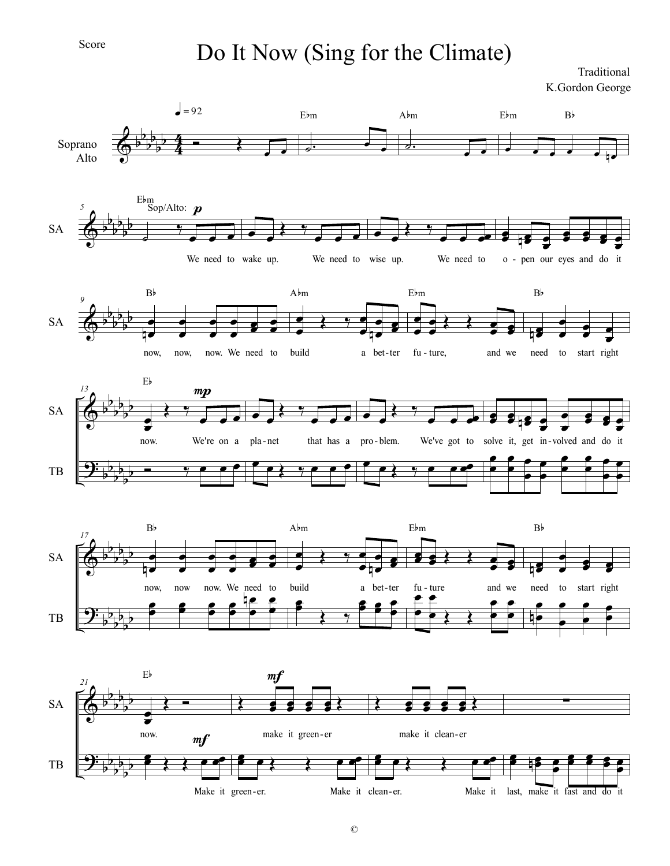## Do It Now (Sing for the Climate)

Traditional K.Gordon George

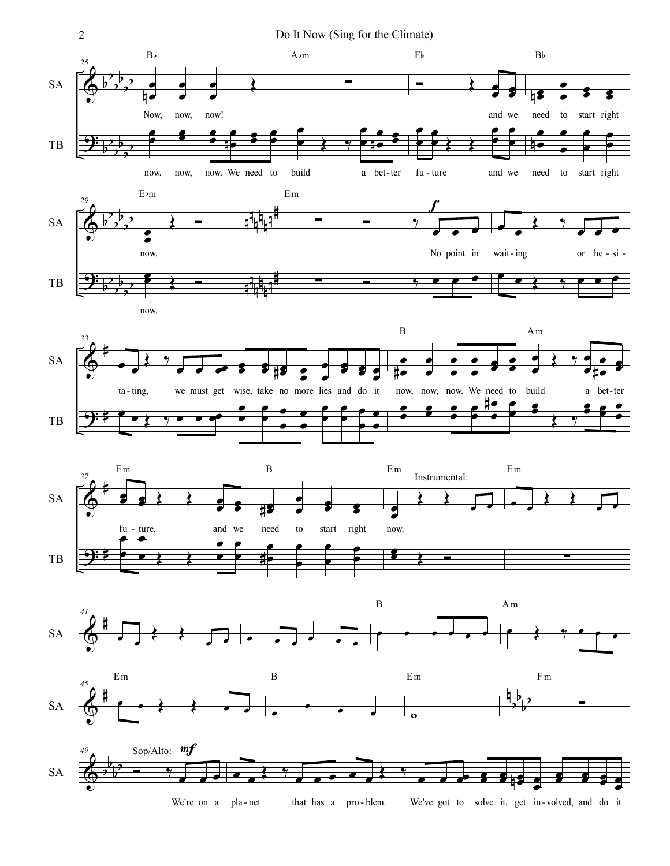2 Do It Now (Sing for the Climate)